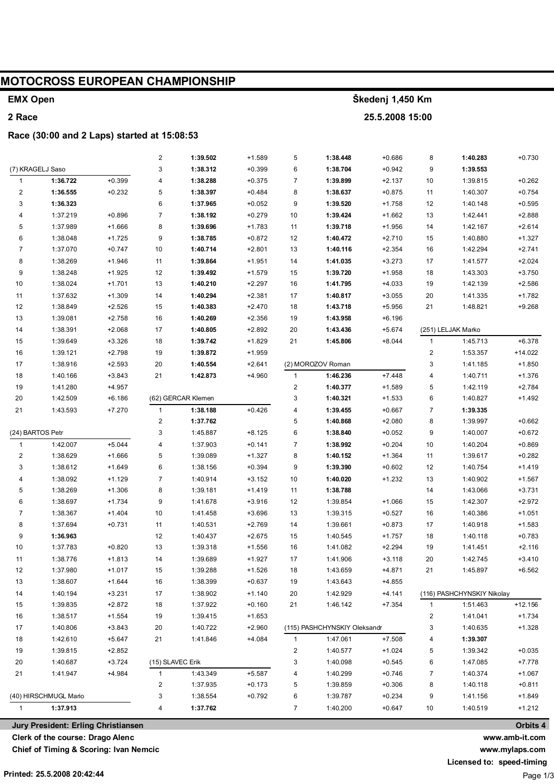| <b>MOTOCROSS EUROPEAN CHAMPIONSHIP</b> |                                             |                      |                         |                      |                    |                  |                              |                      |                |                            |                      |  |  |
|----------------------------------------|---------------------------------------------|----------------------|-------------------------|----------------------|--------------------|------------------|------------------------------|----------------------|----------------|----------------------------|----------------------|--|--|
| <b>EMX Open</b>                        |                                             |                      |                         |                      |                    | Škedenj 1,450 Km |                              |                      |                |                            |                      |  |  |
| 2 Race                                 |                                             |                      |                         |                      |                    | 25.5.2008 15:00  |                              |                      |                |                            |                      |  |  |
|                                        | Race (30:00 and 2 Laps) started at 15:08:53 |                      |                         |                      |                    |                  |                              |                      |                |                            |                      |  |  |
|                                        |                                             |                      | $\overline{\mathbf{c}}$ | 1:39.502             | $+1.589$           | 5                | 1:38.448                     | $+0.686$             | 8              | 1:40.283                   | $+0.730$             |  |  |
|                                        | (7) KRAGELJ Saso                            |                      | 3                       | 1:38.312             | $+0.399$           | 6                | 1:38.704                     | $+0.942$             | 9              | 1:39.553                   |                      |  |  |
| 1                                      | 1:36.722                                    | $+0.399$             | 4                       | 1:38.288             | $+0.375$           | 7                | 1:39.899                     | $+2.137$             | 10             | 1:39.815                   | $+0.262$             |  |  |
| 2                                      | 1:36.555                                    | $+0.232$             | 5                       | 1:38.397             | $+0.484$           | 8                | 1:38.637                     | $+0.875$             | 11             | 1:40.307                   | $+0.754$             |  |  |
| 3                                      | 1:36.323                                    |                      | 6                       | 1:37.965             | $+0.052$           | 9                | 1:39.520                     | $+1.758$             | 12             | 1:40.148                   | $+0.595$             |  |  |
| 4                                      | 1:37.219                                    | $+0.896$             | 7                       | 1:38.192             | $+0.279$           | 10               | 1:39.424                     | $+1.662$             | 13             | 1:42.441                   | $+2.888$             |  |  |
| 5                                      | 1:37.989                                    | $+1.666$             | 8                       | 1:39.696             | $+1.783$           | 11               | 1:39.718                     | $+1.956$             | 14             | 1:42.167                   | $+2.614$             |  |  |
| 6                                      | 1:38.048                                    | +1.725               | 9                       | 1:38.785             | $+0.872$           | 12               | 1:40.472                     | $+2.710$             | 15             | 1:40.880                   | $+1.327$             |  |  |
| 7                                      | 1:37.070                                    | $+0.747$             | 10                      | 1:40.714             | $+2.801$           | 13               | 1:40.116                     | $+2.354$             | 16             | 1:42.294                   | $+2.741$             |  |  |
| 8                                      | 1:38.269                                    | +1.946               | 11                      | 1:39.864             | $+1.951$           | 14               | 1:41.035                     | $+3.273$             | 17             | 1:41.577                   | $+2.024$             |  |  |
| 9                                      | 1:38.248                                    | $+1.925$             | 12                      | 1:39.492             | +1.579             | 15               | 1:39.720                     | $+1.958$             | 18             | 1:43.303                   | $+3.750$             |  |  |
| 10                                     | 1:38.024                                    | $+1.701$             | 13                      | 1:40.210             | $+2.297$           | 16               | 1:41.795                     | $+4.033$             | 19             | 1:42.139                   | $+2.586$             |  |  |
| 11                                     | 1:37.632                                    | $+1.309$             | 14                      | 1:40.294             | $+2.381$           | 17               | 1:40.817                     | $+3.055$             | 20             | 1:41.335                   | $+1.782$             |  |  |
| 12                                     | 1:38.849                                    | $+2.526$             | 15                      | 1:40.383             | $+2.470$           | 18               | 1:43.718                     | $+5.956$             | 21             | 1:48.821                   | $+9.268$             |  |  |
| 13                                     | 1:39.081                                    | $+2.758$             | 16                      | 1:40.269             | $+2.356$           | 19               | 1:43.958                     | $+6.196$             |                |                            |                      |  |  |
| 14                                     | 1:38.391                                    | $+2.068$             | 17                      | 1:40.805             | $+2.892$           | 20               | 1:43.436                     | $+5.674$             |                | (251) LELJAK Marko         |                      |  |  |
| 15                                     | 1:39.649                                    | $+3.326$             | 18                      | 1:39.742             | $+1.829$           | 21               | 1:45.806                     | $+8.044$             | 1              | 1:45.713                   | $+6.378$             |  |  |
| 16                                     | 1:39.121                                    | $+2.798$             | 19                      | 1:39.872             | $+1.959$           |                  |                              |                      | 2              | 1:53.357                   | +14.022              |  |  |
| 17                                     | 1:38.916                                    | $+2.593$             | 20                      | 1:40.554             | $+2.641$           |                  | (2) MOROZOV Roman            |                      | 3              | 1:41.185                   | $+1.850$             |  |  |
| 18                                     | 1:40.166                                    | $+3.843$             | 21                      | 1:42.873             | +4.960             | 1                | 1:46.236                     | $+7.448$             | 4              | 1:40.711                   | $+1.376$             |  |  |
| 19                                     | 1:41.280                                    | $+4.957$             |                         |                      |                    | 2                | 1:40.377                     | $+1.589$             | 5              | 1:42.119                   | $+2.784$             |  |  |
| 20                                     | 1:42.509                                    | $+6.186$             |                         | (62) GERCAR Klemen   |                    | 3                | 1:40.321                     | $+1.533$             | 6              | 1:40.827                   | $+1.492$             |  |  |
| 21                                     | 1:43.593                                    | $+7.270$             | $\mathbf{1}$            | 1:38.188             | $+0.426$           | 4                | 1:39.455                     | $+0.667$             | 7              | 1:39.335                   |                      |  |  |
|                                        |                                             |                      | 2                       | 1:37.762             |                    | 5                | 1:40.868                     | $+2.080$             | 8              | 1:39.997                   | $+0.662$             |  |  |
|                                        | (24) BARTOS Petr                            |                      | 3                       | 1:45.887             | $+8.125$           | 6                | 1:38.840                     | $+0.052$             | 9              | 1:40.007                   | $+0.672$             |  |  |
| $\mathbf{1}$<br>2                      | 1:42.007<br>1:38.629                        | $+5.044$<br>$+1.666$ | 4<br>5                  | 1:37.903<br>1:39.089 | $+0.141$<br>+1.327 | 7<br>8           | 1:38.992<br>1:40.152         | $+0.204$<br>$+1.364$ | 10<br>11       | 1:40.204<br>1:39.617       | $+0.869$<br>$+0.282$ |  |  |
| 3                                      | 1:38.612                                    | $+1.649$             | 6                       | 1:38.156             | $+0.394$           | 9                | 1:39.390                     | $+0.602$             | 12             | 1:40.754                   | +1.419               |  |  |
| 4                                      | 1:38.092                                    | $+1.129$             | 7                       | 1:40.914             | $+3.152$           | 10               | 1:40.020                     | $+1.232$             | 13             | 1:40.902                   | $+1.567$             |  |  |
| 5                                      | 1:38.269                                    | $+1.306$             | 8                       | 1:39.181             | $+1.419$           | 11               | 1:38.788                     |                      | 14             | 1:43.066                   | $+3.731$             |  |  |
| 6                                      | 1:38.697                                    | $+1.734$             | 9                       | 1:41.678             | $+3.916$           | 12               | 1:39.854                     | $+1.066$             | 15             | 1:42.307                   | $+2.972$             |  |  |
| 7                                      | 1:38.367                                    | $+1.404$             | 10                      | 1:41.458             | $+3.696$           | 13               | 1:39.315                     | $+0.527$             | 16             | 1:40.386                   | $+1.051$             |  |  |
| 8                                      | 1:37.694                                    | $+0.731$             | 11                      | 1:40.531             | $+2.769$           | 14               | 1:39.661                     | $+0.873$             | 17             | 1:40.918                   | $+1.583$             |  |  |
| 9                                      | 1:36.963                                    |                      | 12                      | 1:40.437             | $+2.675$           | 15               | 1:40.545                     | $+1.757$             | 18             | 1:40.118                   | $+0.783$             |  |  |
| 10                                     | 1:37.783                                    | $+0.820$             | 13                      | 1:39.318             | $+1.556$           | 16               | 1:41.082                     | $+2.294$             | 19             | 1:41.451                   | $+2.116$             |  |  |
| 11                                     | 1:38.776                                    | $+1.813$             | 14                      | 1:39.689             | $+1.927$           | 17               | 1:41.906                     | $+3.118$             | 20             | 1:42.745                   | $+3.410$             |  |  |
| 12                                     | 1:37.980                                    | $+1.017$             | 15                      | 1:39.288             | $+1.526$           | 18               | 1:43.659                     | $+4.871$             | 21             | 1:45.897                   | $+6.562$             |  |  |
| 13                                     | 1:38.607                                    | $+1.644$             | 16                      | 1:38.399             | $+0.637$           | 19               | 1:43.643                     | $+4.855$             |                |                            |                      |  |  |
| 14                                     | 1:40.194                                    | $+3.231$             | 17                      | 1:38.902             | $+1.140$           | 20               | 1:42.929                     | $+4.141$             |                | (116) PASHCHYNSKIY Nikolay |                      |  |  |
| 15                                     | 1:39.835                                    | $+2.872$             | 18                      | 1:37.922             | $+0.160$           | 21               | 1:46.142                     | $+7.354$             | $\mathbf{1}$   | 1:51.463                   | $+12.156$            |  |  |
| 16                                     | 1:38.517                                    | $+1.554$             | 19                      | 1:39.415             | $+1.653$           |                  |                              |                      | 2              | 1:41.041                   | $+1.734$             |  |  |
| 17                                     | 1:40.806                                    | $+3.843$             | 20                      | 1:40.722             | $+2.960$           |                  | (115) PASHCHYNSKIY Oleksandr |                      | 3              | 1:40.635                   | $+1.328$             |  |  |
| 18                                     | 1:42.610                                    | $+5.647$             | 21                      | 1:41.846             | $+4.084$           | 1                | 1:47.061                     | $+7.508$             | 4              | 1:39.307                   |                      |  |  |
| 19                                     | 1:39.815                                    | $+2.852$             |                         |                      |                    | 2                | 1:40.577                     | $+1.024$             | 5              | 1:39.342                   | $+0.035$             |  |  |
| 20                                     | 1:40.687                                    | $+3.724$             | (15) SLAVEC Erik        |                      |                    | 3                | 1:40.098                     | $+0.545$             | 6              | 1:47.085                   | $+7.778$             |  |  |
| 21                                     | 1:41.947                                    | +4.984               | 1                       | 1:43.349             | $+5.587$           | 4                | 1:40.299                     | $+0.746$             | $\overline{7}$ | 1:40.374                   | $+1.067$             |  |  |
|                                        |                                             |                      | 2                       | 1:37.935             | $+0.173$           | 5                | 1:39.859                     | $+0.306$             | 8              | 1:40.118                   | $+0.811$             |  |  |
| (40) HIRSCHMUGL Mario                  |                                             |                      | 3                       | 1:38.554             | $+0.792$           | 6                | 1:39.787                     | $+0.234$             | 9              | 1:41.156                   | $+1.849$             |  |  |
| 1:37.913<br>$\mathbf{1}$<br>4          |                                             | 1:37.762             |                         | $\overline{7}$       | 1:40.200           | $+0.647$         | 10                           | 1:40.519             | $+1.212$       |                            |                      |  |  |
|                                        | Jury President: Erling Christiansen         |                      |                         |                      |                    |                  |                              |                      |                |                            | Orbits 4             |  |  |

Jury President: Erling Christiansen

Clerk of the course: Drago Alenc

Chief of Timing & Scoring: Ivan Nemcic

www.mylaps.com Licensed to: speed-timing

www.amb-it.com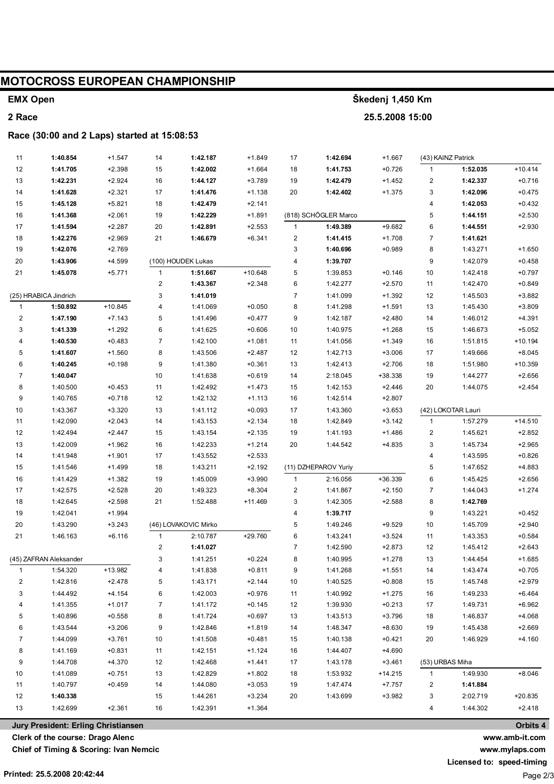# **MOTOCROSS EUROPEAN CHAMPIONSHIP**

# **EMX Open**

## **2 Race**

#### **Race (30:00 and 2 Laps) started at 15:08:53**

| 11                      | 1:40.854 | $+1.547$  | 14                      | 1:42.187             | $+1.849$  | 17           | 1:42.694             | $+1.667$  |                 | (43) KAINZ Patrick |           |
|-------------------------|----------|-----------|-------------------------|----------------------|-----------|--------------|----------------------|-----------|-----------------|--------------------|-----------|
| 12                      | 1:41.705 | $+2.398$  | 15                      | 1:42.002             | $+1.664$  | 18           | 1:41.753             | $+0.726$  | $\mathbf{1}$    | 1:52.035           | $+10.414$ |
| 13                      | 1:42.231 | $+2.924$  | 16                      | 1:44.127             | $+3.789$  | 19           | 1:42.479             | $+1.452$  | 2               | 1:42.337           | $+0.716$  |
| 14                      | 1:41.628 | $+2.321$  | 17                      | 1:41.476             | $+1.138$  | 20           | 1:42.402             | $+1.375$  | 3               | 1:42.096           | $+0.475$  |
| 15                      | 1:45.128 | $+5.821$  | 18                      | 1:42.479             | $+2.141$  |              |                      |           | 4               | 1:42.053           | $+0.432$  |
| 16                      | 1:41.368 | $+2.061$  | 19                      | 1:42.229             | $+1.891$  |              | (818) SCHÖGLER Marco |           | 5               | 1:44.151           | $+2.530$  |
| 17                      | 1:41.594 | $+2.287$  | 20                      | 1:42.891             | $+2.553$  | $\mathbf{1}$ | 1:49.389             | $+9.682$  | 6               | 1:44.551           | $+2.930$  |
| 18                      | 1:42.276 | $+2.969$  | 21                      | 1:46.679             | $+6.341$  | 2            | 1:41.415             | $+1.708$  | 7               | 1:41.621           |           |
| 19                      | 1:42.076 | $+2.769$  |                         |                      |           | 3            | 1:40.696             | $+0.989$  | 8               | 1:43.271           | $+1.650$  |
| 20                      | 1:43.906 | $+4.599$  |                         | (100) HOUDEK Lukas   |           | 4            | 1:39.707             |           | 9               | 1:42.079           | $+0.458$  |
| 21                      | 1:45.078 | $+5.771$  | $\mathbf{1}$            | 1:51.667             | $+10.648$ | 5            | 1:39.853             | $+0.146$  | 10              | 1:42.418           | $+0.797$  |
|                         |          |           | $\overline{\mathbf{c}}$ | 1:43.367             | $+2.348$  | 6            | 1:42.277             | $+2.570$  | 11              | 1:42.470           | $+0.849$  |
| (25) HRABICA Jindrich   |          | 3         | 1:41.019                |                      | 7         | 1:41.099     | $+1.392$             | 12        | 1:45.503        | $+3.882$           |           |
| $\mathbf{1}$            | 1:50.892 | $+10.845$ | 4                       | 1:41.069             | $+0.050$  | 8            | 1:41.298             | $+1.591$  | 13              | 1:45.430           | $+3.809$  |
| $\overline{\mathbf{c}}$ | 1:47.190 | $+7.143$  | 5                       | 1:41.496             | $+0.477$  | 9            | 1:42.187             | $+2.480$  | 14              | 1:46.012           | $+4.391$  |
| 3                       | 1:41.339 | $+1.292$  | 6                       | 1:41.625             | $+0.606$  | 10           | 1:40.975             | $+1.268$  | 15              | 1:46.673           | $+5.052$  |
| 4                       | 1:40.530 | $+0.483$  | $\boldsymbol{7}$        | 1:42.100             | $+1.081$  | 11           | 1:41.056             | $+1.349$  | 16              | 1:51.815           | $+10.194$ |
| 5                       | 1:41.607 | $+1.560$  | 8                       | 1:43.506             | $+2.487$  | 12           | 1:42.713             | $+3.006$  | 17              | 1:49.666           | $+8.045$  |
| 6                       | 1:40.245 | $+0.198$  | 9                       | 1:41.380             | $+0.361$  | 13           | 1:42.413             | $+2.706$  | 18              | 1:51.980           | $+10.359$ |
| $\overline{7}$          | 1:40.047 |           | 10                      | 1:41.638             | $+0.619$  | 14           | 2:18.045             | +38.338   | 19              | 1:44.277           | $+2.656$  |
| 8                       | 1:40.500 | $+0.453$  | 11                      | 1:42.492             | $+1.473$  | 15           | 1:42.153             | $+2.446$  | 20              | 1:44.075           | $+2.454$  |
| 9                       | 1:40.765 | $+0.718$  | 12                      | 1:42.132             | $+1.113$  | 16           | 1:42.514             | $+2.807$  |                 |                    |           |
| 10                      | 1:43.367 | $+3.320$  | 13                      | 1:41.112             | $+0.093$  | 17           | 1:43.360             | $+3.653$  |                 | (42) LOKOTAR Lauri |           |
| 11                      | 1:42.090 | $+2.043$  | 14                      | 1:43.153             | $+2.134$  | 18           | 1:42.849             | $+3.142$  | $\mathbf{1}$    | 1:57.279           | $+14.510$ |
| 12                      | 1:42.494 | $+2.447$  | 15                      | 1:43.154             | $+2.135$  | 19           | 1:41.193             | $+1.486$  | 2               | 1:45.621           | $+2.852$  |
| 13                      | 1:42.009 | $+1.962$  | 16                      | 1:42.233             | $+1.214$  | 20           | 1:44.542             | +4.835    | 3               | 1:45.734           | $+2.965$  |
| 14                      | 1:41.948 | $+1.901$  | 17                      | 1:43.552             | $+2.533$  |              |                      |           | 4               | 1:43.595           | $+0.826$  |
| 15                      | 1:41.546 | $+1.499$  | 18                      | 1:43.211             | $+2.192$  |              | (11) DZHEPAROV Yuriy |           | 5               | 1:47.652           | +4.883    |
| 16                      | 1:41.429 | $+1.382$  | 19                      | 1:45.009             | $+3.990$  | 1            | 2:16.056             | +36.339   | 6               | 1:45.425           | $+2.656$  |
| 17                      | 1:42.575 | $+2.528$  | 20                      | 1:49.323             | $+8.304$  | 2            | 1:41.867             | $+2.150$  | 7               | 1:44.043           | $+1.274$  |
| 18                      | 1:42.645 | $+2.598$  | 21                      | 1:52.488             | $+11.469$ | 3            | 1:42.305             | $+2.588$  | 8               | 1:42.769           |           |
| 19                      | 1:42.041 | $+1.994$  |                         |                      |           | 4            | 1:39.717             |           | 9               | 1:43.221           | $+0.452$  |
| 20                      | 1:43.290 | $+3.243$  |                         | (46) LOVAKOVIC Mirko |           | 5            | 1:49.246             | $+9.529$  | 10              | 1:45.709           | $+2.940$  |
| 21                      | 1:46.163 | $+6.116$  | $\mathbf{1}$            | 2:10.787             | +29.760   | 6            | 1:43.241             | $+3.524$  | 11              | 1:43.353           | $+0.584$  |
|                         |          |           | $\overline{\mathbf{c}}$ | 1:41.027             |           | 7            | 1:42.590             | $+2.873$  | 12              | 1:45.412           | $+2.643$  |
| (45) ZAFRAN Aleksander  |          | 3         | 1:41.251                | $+0.224$             | 8         | 1:40.995     | $+1.278$             | 13        | 1:44.454        | $+1.685$           |           |
|                         | 1:54.320 | +13.982   |                         | 1:41.838             | $+0.811$  | 9            | 1:41.268             | $+1.551$  | 14              | 1:43.474           | $+0.705$  |
| 2                       | 1:42.816 | +2.478    | 5                       | 1:43.171             | $+2.144$  | 10           | 1:40.525             | $+0.808$  | 15              | 1:45.748           | $+2.979$  |
| 3                       | 1:44.492 | $+4.154$  | 6                       | 1:42.003             | $+0.976$  | 11           | 1:40.992             | $+1.275$  | 16              | 1:49.233           | $+6.464$  |
| 4                       | 1:41.355 | $+1.017$  | 7                       | 1:41.172             | $+0.145$  | 12           | 1:39.930             | $+0.213$  | 17              | 1:49.731           | $+6.962$  |
| 5                       | 1:40.896 | $+0.558$  | 8                       | 1:41.724             | $+0.697$  | 13           | 1:43.513             | $+3.796$  | 18              | 1:46.837           | $+4.068$  |
| 6                       | 1:43.544 | $+3.206$  | 9                       | 1:42.846             | $+1.819$  | 14           | 1:48.347             | $+8.630$  | 19              | 1:45.438           | $+2.669$  |
| 7                       | 1:44.099 | $+3.761$  | 10                      | 1:41.508             | $+0.481$  | 15           | 1:40.138             | $+0.421$  | 20              | 1:46.929           | $+4.160$  |
| 8                       | 1:41.169 | $+0.831$  | 11                      | 1:42.151             | $+1.124$  | 16           | 1:44.407             | $+4.690$  |                 |                    |           |
| 9                       | 1:44.708 | $+4.370$  | 12                      | 1:42.468             | $+1.441$  | 17           | 1:43.178             | $+3.461$  | (53) URBAS Miha |                    |           |
| 10                      | 1:41.089 | $+0.751$  | 13                      | 1:42.829             | $+1.802$  | 18           | 1:53.932             | $+14.215$ | $\mathbf{1}$    | 1:49.930           | $+8.046$  |
| 11                      | 1:40.797 | $+0.459$  | 14                      | 1:44.080             | $+3.053$  | 19           | 1:47.474             | $+7.757$  | 2               | 1:41.884           |           |
| 12                      | 1:40.338 |           | 15                      | 1:44.261             | $+3.234$  | 20           | 1:43.699             | $+3.982$  | 3               | 2:02.719           | $+20.835$ |
| 13                      | 1:42.699 | $+2.361$  | 16                      | 1:42.391             | $+1.364$  |              |                      |           | 4               | 1:44.302           | $+2.418$  |

**Škedenj 1,450 Km**

**25.5.2008 15:00**

**Jury President: Erling Christiansen**

**Clerk of the course: Drago Alenc**

**Chief of Timing & Scoring: Ivan Nemcic**

**Printed: 25.5.2008 20:42:44**

**Orbits 4**

**www.amb-it.com www.mylaps.com**

**Licensed to: speed-timing**

Page 2/3